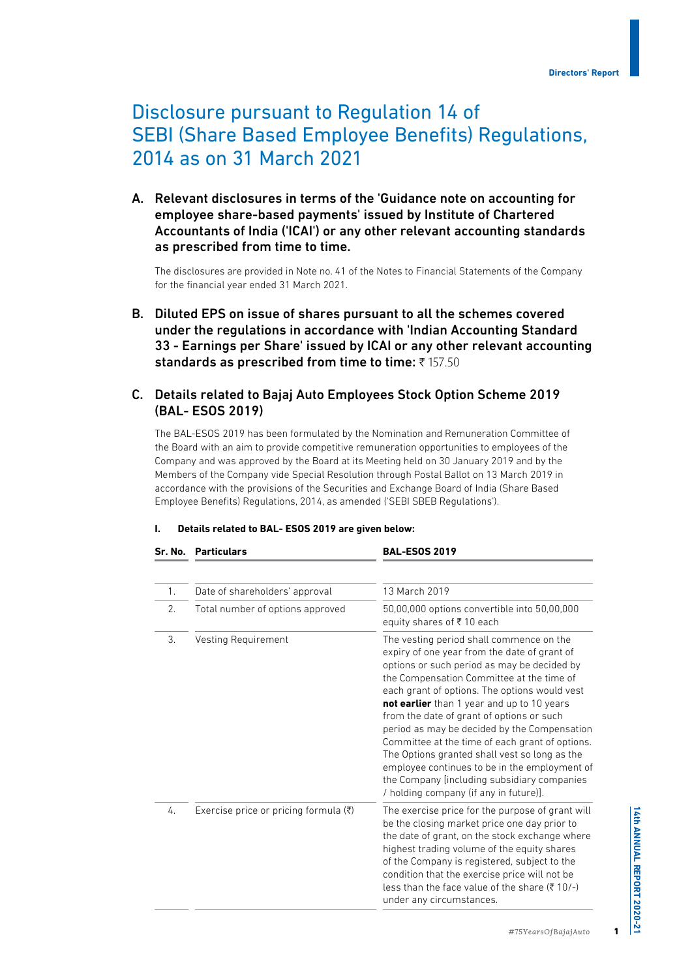# Disclosure pursuant to Regulation 14 of SEBI (Share Based Employee Benefits) Regulations, 2014 as on 31 March 2021

A. Relevant disclosures in terms of the 'Guidance note on accounting for employee share-based payments' issued by Institute of Chartered Accountants of India ('ICAI') or any other relevant accounting standards as prescribed from time to time.

The disclosures are provided in Note no. 41 of the Notes to Financial Statements of the Company for the financial year ended 31 March 2021.

B. Diluted EPS on issue of shares pursuant to all the schemes covered under the regulations in accordance with 'Indian Accounting Standard 33 - Earnings per Share' issued by ICAI or any other relevant accounting standards as prescribed from time to time:  $\bar{z}$  157.50

# C. Details related to Bajaj Auto Employees Stock Option Scheme 2019 (BAL- ESOS 2019)

The BAL-ESOS 2019 has been formulated by the Nomination and Remuneration Committee of the Board with an aim to provide competitive remuneration opportunities to employees of the Company and was approved by the Board at its Meeting held on 30 January 2019 and by the Members of the Company vide Special Resolution through Postal Ballot on 13 March 2019 in accordance with the provisions of the Securities and Exchange Board of India (Share Based Employee Benefits) Regulations, 2014, as amended ('SEBI SBEB Regulations').

| Т. |  |  |  |  | Details related to BAL- ESOS 2019 are given below: |  |
|----|--|--|--|--|----------------------------------------------------|--|
|----|--|--|--|--|----------------------------------------------------|--|

**Sr. No. Particulars BAL-ESOS 2019**

| $1_{.}$ | Date of shareholders' approval        | 13 March 2019                                                                                                                                                                                                                                                                                                                                                                                                                                                                                                                                                                                                                  |
|---------|---------------------------------------|--------------------------------------------------------------------------------------------------------------------------------------------------------------------------------------------------------------------------------------------------------------------------------------------------------------------------------------------------------------------------------------------------------------------------------------------------------------------------------------------------------------------------------------------------------------------------------------------------------------------------------|
| 2.      | Total number of options approved      | 50,00,000 options convertible into 50,00,000<br>equity shares of ₹10 each                                                                                                                                                                                                                                                                                                                                                                                                                                                                                                                                                      |
| 3.      | Vesting Requirement                   | The vesting period shall commence on the<br>expiry of one year from the date of grant of<br>options or such period as may be decided by<br>the Compensation Committee at the time of<br>each grant of options. The options would vest<br>not earlier than 1 year and up to 10 years<br>from the date of grant of options or such<br>period as may be decided by the Compensation<br>Committee at the time of each grant of options.<br>The Options granted shall vest so long as the<br>employee continues to be in the employment of<br>the Company [including subsidiary companies<br>/ holding company (if any in future)]. |
| 4.      | Exercise price or pricing formula (₹) | The exercise price for the purpose of grant will<br>be the closing market price one day prior to<br>the date of grant, on the stock exchange where<br>highest trading volume of the equity shares<br>of the Company is registered, subject to the<br>condition that the exercise price will not be<br>less than the face value of the share (₹10/-)<br>under any circumstances.                                                                                                                                                                                                                                                |

1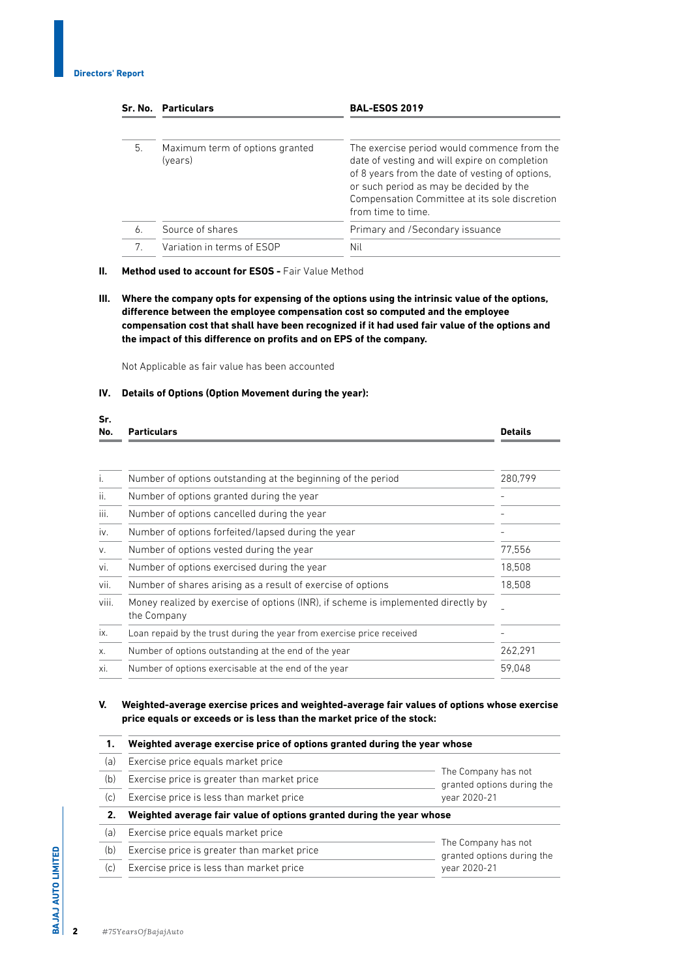**Sr.** 

|    | Sr. No. Particulars                        | <b>BAL-ESOS 2019</b>                                                                                                                                                                                                                                              |
|----|--------------------------------------------|-------------------------------------------------------------------------------------------------------------------------------------------------------------------------------------------------------------------------------------------------------------------|
| 5. | Maximum term of options granted<br>(years) | The exercise period would commence from the<br>date of vesting and will expire on completion<br>of 8 years from the date of vesting of options,<br>or such period as may be decided by the<br>Compensation Committee at its sole discretion<br>from time to time. |
| 6. | Source of shares                           | Primary and /Secondary issuance                                                                                                                                                                                                                                   |
| 7. | Variation in terms of ESOP                 | Nil                                                                                                                                                                                                                                                               |

#### **II.** Method used to account for ESOS - Fair Value Method

**III. Where the company opts for expensing of the options using the intrinsic value of the options, difference between the employee compensation cost so computed and the employee compensation cost that shall have been recognized if it had used fair value of the options and the impact of this difference on profits and on EPS of the company.**

Not Applicable as fair value has been accounted

#### **IV. Details of Options (Option Movement during the year):**

| No.   | <b>Particulars</b>                                                                               | <b>Details</b> |
|-------|--------------------------------------------------------------------------------------------------|----------------|
|       |                                                                                                  |                |
| i.    | Number of options outstanding at the beginning of the period                                     | 280,799        |
| ii.   | Number of options granted during the year                                                        |                |
| iii.  | Number of options cancelled during the year                                                      |                |
| iv.   | Number of options forfeited/lapsed during the year                                               |                |
| V.    | Number of options vested during the year                                                         | 77,556         |
| vi.   | Number of options exercised during the year                                                      | 18,508         |
| vii.  | Number of shares arising as a result of exercise of options                                      | 18,508         |
| viii. | Money realized by exercise of options (INR), if scheme is implemented directly by<br>the Company |                |
| ix.   | Loan repaid by the trust during the year from exercise price received                            |                |
| Х.    | Number of options outstanding at the end of the year                                             | 262,291        |
| xi.   | Number of options exercisable at the end of the year                                             | 59.048         |

**V. Weighted-average exercise prices and weighted-average fair values of options whose exercise price equals or exceeds or is less than the market price of the stock:**

| 1.  | Weighted average exercise price of options granted during the year whose |                                                   |  |
|-----|--------------------------------------------------------------------------|---------------------------------------------------|--|
| (a) | Exercise price equals market price                                       |                                                   |  |
| (b) | Exercise price is greater than market price                              | The Company has not<br>granted options during the |  |
| (c) | Exercise price is less than market price                                 | vear 2020-21                                      |  |
| 2.  | Weighted average fair value of options granted during the year whose     |                                                   |  |
| (a) | Exercise price equals market price                                       |                                                   |  |
| (b) | Exercise price is greater than market price                              | The Company has not<br>granted options during the |  |
| (c) | Exercise price is less than market price                                 | vear 2020-21                                      |  |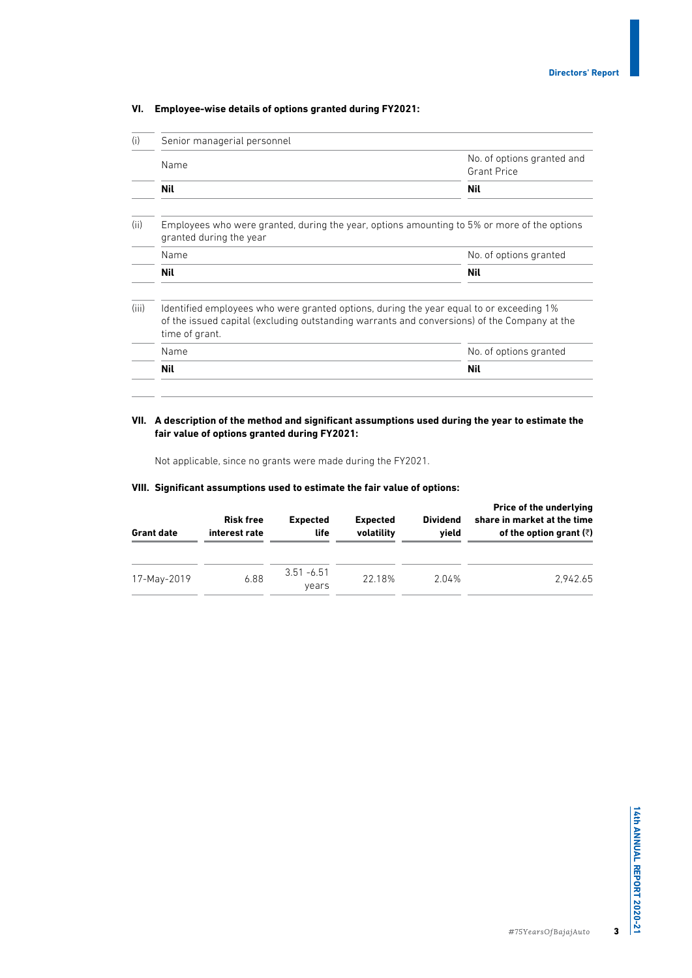| (i)   | Senior managerial personnel                                                                               |                                                                                              |  |  |  |
|-------|-----------------------------------------------------------------------------------------------------------|----------------------------------------------------------------------------------------------|--|--|--|
|       | Name                                                                                                      | No. of options granted and<br><b>Grant Price</b>                                             |  |  |  |
|       | Nil                                                                                                       | Nil                                                                                          |  |  |  |
| (ii)  | granted during the year                                                                                   | Employees who were granted, during the year, options amounting to 5% or more of the options  |  |  |  |
|       | Name                                                                                                      | No. of options granted                                                                       |  |  |  |
|       |                                                                                                           |                                                                                              |  |  |  |
|       | Nil                                                                                                       | Nil                                                                                          |  |  |  |
|       | Identified employees who were granted options, during the year equal to or exceeding 1%<br>time of grant. | of the issued capital (excluding outstanding warrants and conversions) of the Company at the |  |  |  |
| (iii) | Name                                                                                                      | No. of options granted                                                                       |  |  |  |

## **VI. Employee-wise details of options granted during FY2021:**

#### **VII. A description of the method and significant assumptions used during the year to estimate the fair value of options granted during FY2021:**

Not applicable, since no grants were made during the FY2021.

#### **VIII. Significant assumptions used to estimate the fair value of options:**

| <b>Grant date</b> | <b>Risk free</b><br>interest rate | <b>Expected</b><br>life | <b>Expected</b><br>volatility | <b>Dividend</b><br>vield | Price of the underlying<br>share in market at the time<br>of the option grant $(\bar{z})$ |
|-------------------|-----------------------------------|-------------------------|-------------------------------|--------------------------|-------------------------------------------------------------------------------------------|
| 17-May-2019       | 6.88                              | $3.51 - 6.51$<br>vears  | 22.18%                        | 2.04%                    | 2.942.65                                                                                  |